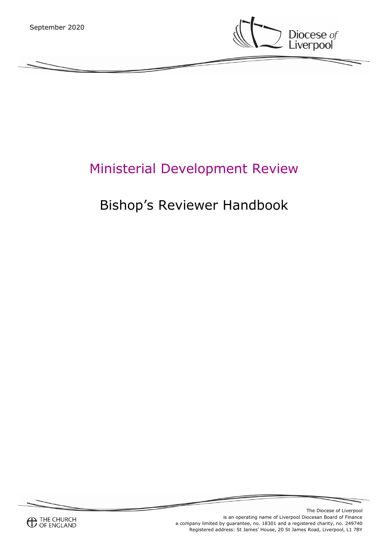

# Ministerial Development Review

# Bishop's Reviewer Handbook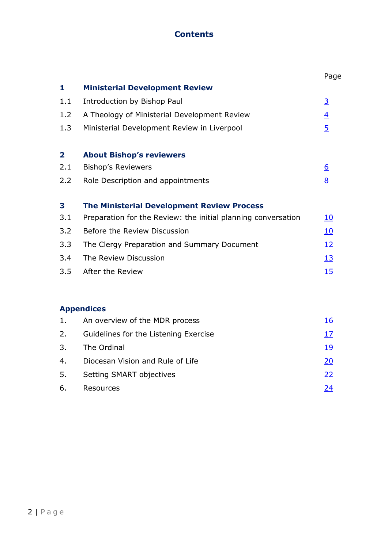# **Contents**

|                         |                                                               | Page            |
|-------------------------|---------------------------------------------------------------|-----------------|
| 1                       | <b>Ministerial Development Review</b>                         |                 |
| 1.1                     | Introduction by Bishop Paul                                   | $\overline{3}$  |
| 1.2                     | A Theology of Ministerial Development Review                  | $\overline{4}$  |
| 1.3                     | Ministerial Development Review in Liverpool                   | $\overline{5}$  |
| $\overline{\mathbf{2}}$ | <b>About Bishop's reviewers</b>                               |                 |
| 2.1                     | <b>Bishop's Reviewers</b>                                     | $6\overline{6}$ |
| 2.2                     | Role Description and appointments                             | 8               |
| 3                       | <b>The Ministerial Development Review Process</b>             |                 |
| 3.1                     | Preparation for the Review: the initial planning conversation | 10              |
| 3.2                     | Before the Review Discussion                                  | 10              |
| 3.3                     | The Clergy Preparation and Summary Document                   | <u>12</u>       |
| 3.4                     | The Review Discussion                                         | 13              |
| 3.5                     | After the Review                                              | 15              |
|                         |                                                               |                 |
|                         | <b>Appendices</b>                                             |                 |
| 1.                      | An overview of the MDR process                                | 16              |
| 2.                      | Guidelines for the Listening Exercise                         | <u>17</u>       |
| 3.                      | The Ordinal                                                   | <u> 19</u>      |
| 4.                      | Diocesan Vision and Rule of Life                              | 20              |
| 5.                      | Setting SMART objectives                                      | <u> 22</u>      |

<span id="page-1-0"></span>

| 6. | Resources | 24 |
|----|-----------|----|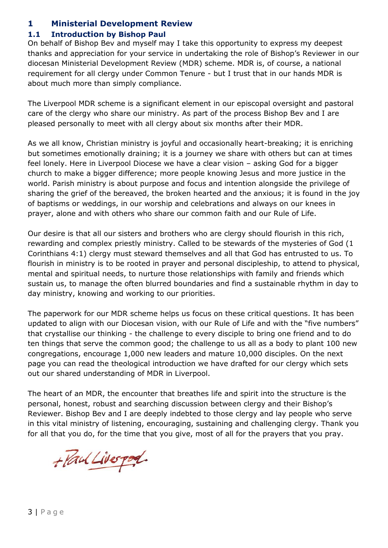# **1 Ministerial Development Review**

## **1.1 Introduction by Bishop Paul**

On behalf of Bishop Bev and myself may I take this opportunity to express my deepest thanks and appreciation for your service in undertaking the role of Bishop's Reviewer in our diocesan Ministerial Development Review (MDR) scheme. MDR is, of course, a national requirement for all clergy under Common Tenure - but I trust that in our hands MDR is about much more than simply compliance.

The Liverpool MDR scheme is a significant element in our episcopal oversight and pastoral care of the clergy who share our ministry. As part of the process Bishop Bev and I are pleased personally to meet with all clergy about six months after their MDR.

As we all know, Christian ministry is joyful and occasionally heart-breaking; it is enriching but sometimes emotionally draining; it is a journey we share with others but can at times feel lonely. Here in Liverpool Diocese we have a clear vision – asking God for a bigger church to make a bigger difference; more people knowing Jesus and more justice in the world. Parish ministry is about purpose and focus and intention alongside the privilege of sharing the grief of the bereaved, the broken hearted and the anxious; it is found in the joy of baptisms or weddings, in our worship and celebrations and always on our knees in prayer, alone and with others who share our common faith and our Rule of Life.

Our desire is that all our sisters and brothers who are clergy should flourish in this rich, rewarding and complex priestly ministry. Called to be stewards of the mysteries of God (1 Corinthians 4:1) clergy must steward themselves and all that God has entrusted to us. To flourish in ministry is to be rooted in prayer and personal discipleship, to attend to physical, mental and spiritual needs, to nurture those relationships with family and friends which sustain us, to manage the often blurred boundaries and find a sustainable rhythm in day to day ministry, knowing and working to our priorities.

The paperwork for our MDR scheme helps us focus on these critical questions. It has been updated to align with our Diocesan vision, with our Rule of Life and with the "five numbers" that crystallise our thinking - the challenge to every disciple to bring one friend and to do ten things that serve the common good; the challenge to us all as a body to plant 100 new congregations, encourage 1,000 new leaders and mature 10,000 disciples. On the next page you can read the theological introduction we have drafted for our clergy which sets out our shared understanding of MDR in Liverpool.

The heart of an MDR, the encounter that breathes life and spirit into the structure is the personal, honest, robust and searching discussion between clergy and their Bishop's Reviewer. Bishop Bev and I are deeply indebted to those clergy and lay people who serve in this vital ministry of listening, encouraging, sustaining and challenging clergy. Thank you for all that you do, for the time that you give, most of all for the prayers that you pray.

<span id="page-2-0"></span>+ Paul Liverport.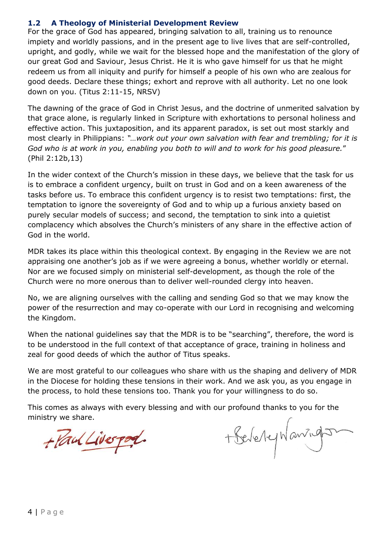#### **1.2 A Theology of Ministerial Development Review**

For the grace of God has appeared, bringing salvation to all, training us to renounce impiety and worldly passions, and in the present age to live lives that are self-controlled, upright, and godly, while we wait for the blessed hope and the manifestation of the glory of our great God and Saviour, Jesus Christ. He it is who gave himself for us that he might redeem us from all iniquity and purify for himself a people of his own who are zealous for good deeds. Declare these things; exhort and reprove with all authority. Let no one look down on you. (Titus 2:11-15, NRSV)

The dawning of the grace of God in Christ Jesus, and the doctrine of unmerited salvation by that grace alone, is regularly linked in Scripture with exhortations to personal holiness and effective action. This juxtaposition, and its apparent paradox, is set out most starkly and most clearly in Philippians: *"…work out your own salvation with fear and trembling; for it is God who is at work in you, enabling you both to will and to work for his good pleasure.*" (Phil 2:12b,13)

In the wider context of the Church's mission in these days, we believe that the task for us is to embrace a confident urgency, built on trust in God and on a keen awareness of the tasks before us. To embrace this confident urgency is to resist two temptations: first, the temptation to ignore the sovereignty of God and to whip up a furious anxiety based on purely secular models of success; and second, the temptation to sink into a quietist complacency which absolves the Church's ministers of any share in the effective action of God in the world.

MDR takes its place within this theological context. By engaging in the Review we are not appraising one another's job as if we were agreeing a bonus, whether worldly or eternal. Nor are we focused simply on ministerial self-development, as though the role of the Church were no more onerous than to deliver well-rounded clergy into heaven.

No, we are aligning ourselves with the calling and sending God so that we may know the power of the resurrection and may co-operate with our Lord in recognising and welcoming the Kingdom.

When the national guidelines say that the MDR is to be "searching", therefore, the word is to be understood in the full context of that acceptance of grace, training in holiness and zeal for good deeds of which the author of Titus speaks.

We are most grateful to our colleagues who share with us the shaping and delivery of MDR in the Diocese for holding these tensions in their work. And we ask you, as you engage in the process, to hold these tensions too. Thank you for your willingness to do so.

This comes as always with every blessing and with our profound thanks to you for the ministry we share.

<span id="page-3-0"></span>+ Yaul Liverport.

+ Reverty Wannington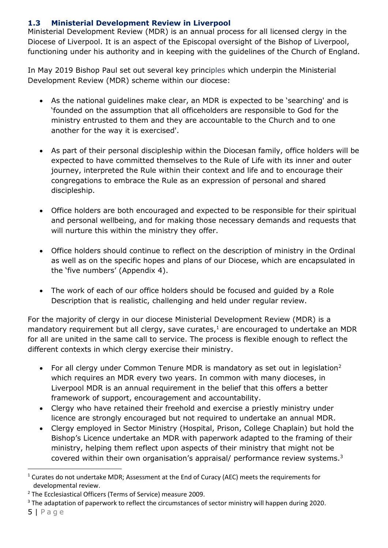# **1.3 Ministerial Development Review in Liverpool**

Ministerial Development Review (MDR) is an annual process for all licensed clergy in the Diocese of Liverpool. It is an aspect of the Episcopal oversight of the Bishop of Liverpool, functioning under his authority and in keeping with the guidelines of the Church of England.

In May 2019 Bishop Paul set out several key principles which underpin the Ministerial Development Review (MDR) scheme within our diocese:

- As the national guidelines make clear, an MDR is expected to be 'searching' and is 'founded on the assumption that all officeholders are responsible to God for the ministry entrusted to them and they are accountable to the Church and to one another for the way it is exercised'.
- As part of their personal discipleship within the Diocesan family, office holders will be expected to have committed themselves to the Rule of Life with its inner and outer journey, interpreted the Rule within their context and life and to encourage their congregations to embrace the Rule as an expression of personal and shared discipleship.
- Office holders are both encouraged and expected to be responsible for their spiritual and personal wellbeing, and for making those necessary demands and requests that will nurture this within the ministry they offer.
- Office holders should continue to reflect on the description of ministry in the Ordinal as well as on the specific hopes and plans of our Diocese, which are encapsulated in the 'five numbers' (Appendix 4).
- The work of each of our office holders should be focused and guided by a Role Description that is realistic, challenging and held under regular review.

For the majority of clergy in our diocese Ministerial Development Review (MDR) is a mandatory requirement but all clergy, save curates, $1$  are encouraged to undertake an MDR for all are united in the same call to service. The process is flexible enough to reflect the different contexts in which clergy exercise their ministry.

- For all clergy under Common Tenure MDR is mandatory as set out in legislation<sup>2</sup> which requires an MDR every two years. In common with many dioceses, in Liverpool MDR is an annual requirement in the belief that this offers a better framework of support, encouragement and accountability.
- Clergy who have retained their freehold and exercise a priestly ministry under licence are strongly encouraged but not required to undertake an annual MDR.
- Clergy employed in Sector Ministry (Hospital, Prison, College Chaplain) but hold the Bishop's Licence undertake an MDR with paperwork adapted to the framing of their ministry, helping them reflect upon aspects of their ministry that might not be covered within their own organisation's appraisal/ performance review systems.<sup>3</sup>

-

 $1$  Curates do not undertake MDR; Assessment at the End of Curacy (AEC) meets the requirements for developmental review.

<sup>&</sup>lt;sup>2</sup> The Ecclesiastical Officers (Terms of Service) measure 2009.

<sup>&</sup>lt;sup>3</sup> The adaptation of paperwork to reflect the circumstances of sector ministry will happen during 2020.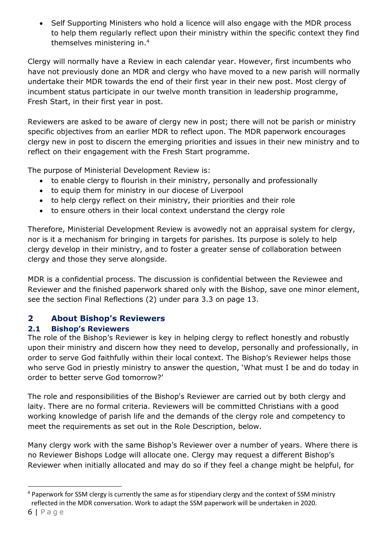Self Supporting Ministers who hold a licence will also engage with the MDR process to help them regularly reflect upon their ministry within the specific context they find themselves ministering in.<sup>4</sup>

Clergy will normally have a Review in each calendar year. However, first incumbents who have not previously done an MDR and clergy who have moved to a new parish will normally undertake their MDR towards the end of their first year in their new post. Most clergy of incumbent status participate in our twelve month transition in leadership programme, Fresh Start, in their first year in post.

Reviewers are asked to be aware of clergy new in post; there will not be parish or ministry specific objectives from an earlier MDR to reflect upon. The MDR paperwork encourages clergy new in post to discern the emerging priorities and issues in their new ministry and to reflect on their engagement with the Fresh Start programme.

The purpose of Ministerial Development Review is:

- to enable clergy to flourish in their ministry, personally and professionally
- to equip them for ministry in our diocese of Liverpool
- to help clergy reflect on their ministry, their priorities and their role
- to ensure others in their local context understand the clergy role

Therefore, Ministerial Development Review is avowedly not an appraisal system for clergy, nor is it a mechanism for bringing in targets for parishes. Its purpose is solely to help clergy develop in their ministry, and to foster a greater sense of collaboration between clergy and those they serve alongside.

MDR is a confidential process. The discussion is confidential between the Reviewee and Reviewer and the finished paperwork shared only with the Bishop, save one minor element, see the section Final Reflections (2) under para 3.3 on page 13.

# **2 About Bishop's Reviewers**

# <span id="page-5-0"></span>**2.1 Bishop's Reviewers**

The role of the Bishop's Reviewer is key in helping clergy to reflect honestly and robustly upon their ministry and discern how they need to develop, personally and professionally, in order to serve God faithfully within their local context. The Bishop's Reviewer helps those who serve God in priestly ministry to answer the question, 'What must I be and do today in order to better serve God tomorrow?'

The role and responsibilities of the Bishop's Reviewer are carried out by both clergy and laity. There are no formal criteria. Reviewers will be committed Christians with a good working knowledge of parish life and the demands of the clergy role and competency to meet the requirements as set out in the Role Description, below.

Many clergy work with the same Bishop's Reviewer over a number of years. Where there is no Reviewer Bishops Lodge will allocate one. Clergy may request a different Bishop's Reviewer when initially allocated and may do so if they feel a change might be helpful, for

 $\overline{a}$ <sup>4</sup> Paperwork for SSM clergy is currently the same as for stipendiary clergy and the context of SSM ministry reflected in the MDR conversation. Work to adapt the SSM paperwork will be undertaken in 2020.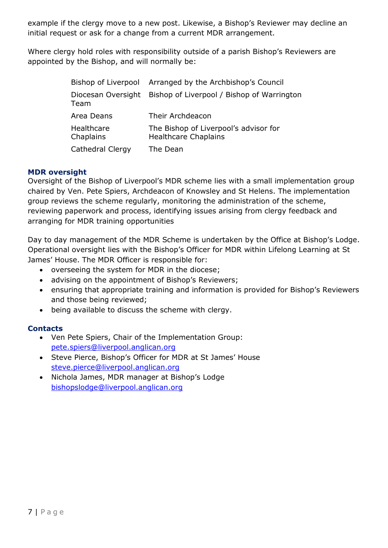example if the clergy move to a new post. Likewise, a Bishop's Reviewer may decline an initial request or ask for a change from a current MDR arrangement.

Where clergy hold roles with responsibility outside of a parish Bishop's Reviewers are appointed by the Bishop, and will normally be:

| Bishop of Liverpool     | Arranged by the Archbishop's Council                                 |
|-------------------------|----------------------------------------------------------------------|
| Team                    | Diocesan Oversight Bishop of Liverpool / Bishop of Warrington        |
| Area Deans              | Their Archdeacon                                                     |
| Healthcare<br>Chaplains | The Bishop of Liverpool's advisor for<br><b>Healthcare Chaplains</b> |
| Cathedral Clergy        | The Dean                                                             |

#### **MDR oversight**

Oversight of the Bishop of Liverpool's MDR scheme lies with a small implementation group chaired by Ven. Pete Spiers, Archdeacon of Knowsley and St Helens. The implementation group reviews the scheme regularly, monitoring the administration of the scheme, reviewing paperwork and process, identifying issues arising from clergy feedback and arranging for MDR training opportunities

Day to day management of the MDR Scheme is undertaken by the Office at Bishop's Lodge. Operational oversight lies with the Bishop's Officer for MDR within Lifelong Learning at St James' House. The MDR Officer is responsible for:

- overseeing the system for MDR in the diocese;
- advising on the appointment of Bishop's Reviewers;
- ensuring that appropriate training and information is provided for Bishop's Reviewers and those being reviewed;
- being available to discuss the scheme with clergy.

#### **Contacts**

- Ven Pete Spiers, Chair of the Implementation Group: [pete.spiers@liverpool.anglican.org](mailto:pete.spiers@liverpool.anglican.org)
- Steve Pierce, Bishop's Officer for MDR at St James' House steve.pierce@liverpool.anglican.org
- <span id="page-6-0"></span> Nichola James, MDR manager at Bishop's Lodge [bishopslodge@liverpool.anglican.org](mailto:bishopslodge@liverpool.anglican.org)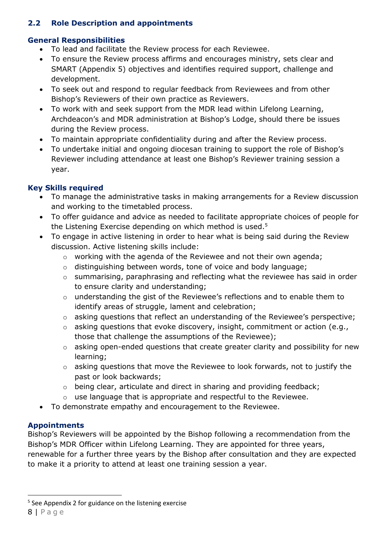# **2.2 Role Description and appointments**

# **General Responsibilities**

- To lead and facilitate the Review process for each Reviewee.
- To ensure the Review process affirms and encourages ministry, sets clear and SMART (Appendix 5) objectives and identifies required support, challenge and development.
- To seek out and respond to regular feedback from Reviewees and from other Bishop's Reviewers of their own practice as Reviewers.
- To work with and seek support from the MDR lead within Lifelong Learning, Archdeacon's and MDR administration at Bishop's Lodge, should there be issues during the Review process.
- To maintain appropriate confidentiality during and after the Review process.
- To undertake initial and ongoing diocesan training to support the role of Bishop's Reviewer including attendance at least one Bishop's Reviewer training session a year.

# **Key Skills required**

- To manage the administrative tasks in making arrangements for a Review discussion and working to the timetabled process.
- To offer guidance and advice as needed to facilitate appropriate choices of people for the Listening Exercise depending on which method is used. 5
- To engage in active listening in order to hear what is being said during the Review discussion. Active listening skills include:
	- o working with the agenda of the Reviewee and not their own agenda;
	- o distinguishing between words, tone of voice and body language;
	- o summarising, paraphrasing and reflecting what the reviewee has said in order to ensure clarity and understanding;
	- o understanding the gist of the Reviewee's reflections and to enable them to identify areas of struggle, lament and celebration;
	- o asking questions that reflect an understanding of the Reviewee's perspective;
	- o asking questions that evoke discovery, insight, commitment or action (e.g., those that challenge the assumptions of the Reviewee);
	- o asking open-ended questions that create greater clarity and possibility for new learning;
	- $\circ$  asking questions that move the Reviewee to look forwards, not to justify the past or look backwards;
	- o being clear, articulate and direct in sharing and providing feedback;
	- $\circ$  use language that is appropriate and respectful to the Reviewee.
- To demonstrate empathy and encouragement to the Reviewee.

# **Appointments**

Bishop's Reviewers will be appointed by the Bishop following a recommendation from the Bishop's MDR Officer within Lifelong Learning. They are appointed for three years, renewable for a further three years by the Bishop after consultation and they are expected to make it a priority to attend at least one training session a year.

<sup>8</sup> | P a g e  $\overline{a}$ <sup>5</sup> See Appendix 2 for guidance on the listening exercise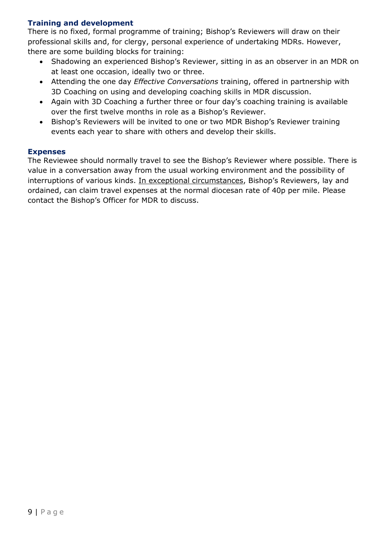## **Training and development**

There is no fixed, formal programme of training; Bishop's Reviewers will draw on their professional skills and, for clergy, personal experience of undertaking MDRs. However, there are some building blocks for training:

- Shadowing an experienced Bishop's Reviewer, sitting in as an observer in an MDR on at least one occasion, ideally two or three.
- Attending the one day *Effective Conversations* training, offered in partnership with 3D Coaching on using and developing coaching skills in MDR discussion.
- Again with 3D Coaching a further three or four day's coaching training is available over the first twelve months in role as a Bishop's Reviewer.
- Bishop's Reviewers will be invited to one or two MDR Bishop's Reviewer training events each year to share with others and develop their skills.

#### **Expenses**

The Reviewee should normally travel to see the Bishop's Reviewer where possible. There is value in a conversation away from the usual working environment and the possibility of interruptions of various kinds. In exceptional circumstances, Bishop's Reviewers, lay and ordained, can claim travel expenses at the normal diocesan rate of 40p per mile. Please contact the Bishop's Officer for MDR to discuss.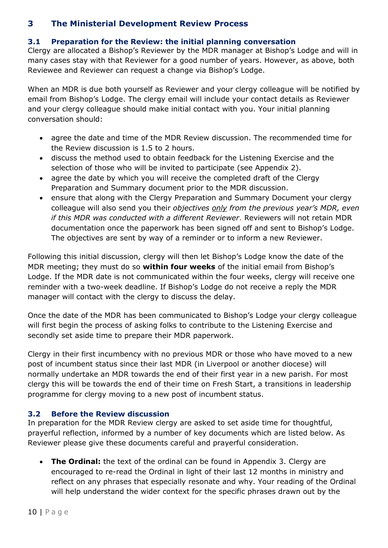# **3 The Ministerial Development Review Process**

#### <span id="page-9-0"></span>**3.1 Preparation for the Review: the initial planning conversation**

Clergy are allocated a Bishop's Reviewer by the MDR manager at Bishop's Lodge and will in many cases stay with that Reviewer for a good number of years. However, as above, both Reviewee and Reviewer can request a change via Bishop's Lodge.

When an MDR is due both yourself as Reviewer and your clergy colleague will be notified by email from Bishop's Lodge. The clergy email will include your contact details as Reviewer and your clergy colleague should make initial contact with you. Your initial planning conversation should:

- agree the date and time of the MDR Review discussion. The recommended time for the Review discussion is 1.5 to 2 hours.
- discuss the method used to obtain feedback for the Listening Exercise and the selection of those who will be invited to participate (see Appendix 2).
- agree the date by which you will receive the completed draft of the Clergy Preparation and Summary document prior to the MDR discussion.
- ensure that along with the Clergy Preparation and Summary Document your clergy colleague will also send you their *objectives only from the previous year's MDR, even if this MDR was conducted with a different Reviewer*. Reviewers will not retain MDR documentation once the paperwork has been signed off and sent to Bishop's Lodge. The objectives are sent by way of a reminder or to inform a new Reviewer.

Following this initial discussion, clergy will then let Bishop's Lodge know the date of the MDR meeting; they must do so **within four weeks** of the initial email from Bishop's Lodge. If the MDR date is not communicated within the four weeks, clergy will receive one reminder with a two-week deadline. If Bishop's Lodge do not receive a reply the MDR manager will contact with the clergy to discuss the delay.

Once the date of the MDR has been communicated to Bishop's Lodge your clergy colleague will first begin the process of asking folks to contribute to the Listening Exercise and secondly set aside time to prepare their MDR paperwork.

Clergy in their first incumbency with no previous MDR or those who have moved to a new post of incumbent status since their last MDR (in Liverpool or another diocese) will normally undertake an MDR towards the end of their first year in a new parish. For most clergy this will be towards the end of their time on Fresh Start, a transitions in leadership programme for clergy moving to a new post of incumbent status.

## <span id="page-9-1"></span>**3.2 Before the Review discussion**

In preparation for the MDR Review clergy are asked to set aside time for thoughtful, prayerful reflection, informed by a number of key documents which are listed below. As Reviewer please give these documents careful and prayerful consideration.

 **The Ordinal:** the text of the ordinal can be found in Appendix 3. Clergy are encouraged to re-read the Ordinal in light of their last 12 months in ministry and reflect on any phrases that especially resonate and why. Your reading of the Ordinal will help understand the wider context for the specific phrases drawn out by the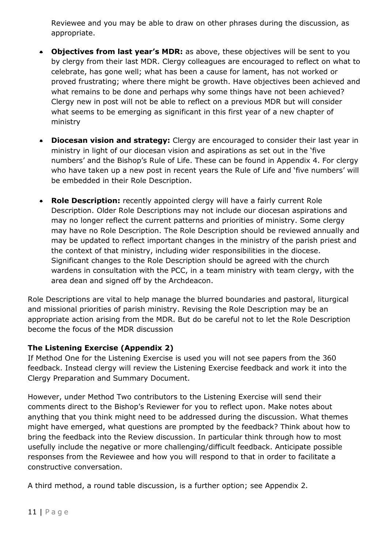Reviewee and you may be able to draw on other phrases during the discussion, as appropriate.

- **Objectives from last year's MDR:** as above, these objectives will be sent to you by clergy from their last MDR. Clergy colleagues are encouraged to reflect on what to celebrate, has gone well; what has been a cause for lament, has not worked or proved frustrating; where there might be growth. Have objectives been achieved and what remains to be done and perhaps why some things have not been achieved? Clergy new in post will not be able to reflect on a previous MDR but will consider what seems to be emerging as significant in this first year of a new chapter of ministry
- **Diocesan vision and strategy:** Clergy are encouraged to consider their last year in ministry in light of our diocesan vision and aspirations as set out in the 'five numbers' and the Bishop's Rule of Life. These can be found in Appendix 4. For clergy who have taken up a new post in recent years the Rule of Life and 'five numbers' will be embedded in their Role Description.
- **Role Description:** recently appointed clergy will have a fairly current Role Description. Older Role Descriptions may not include our diocesan aspirations and may no longer reflect the current patterns and priorities of ministry. Some clergy may have no Role Description. The Role Description should be reviewed annually and may be updated to reflect important changes in the ministry of the parish priest and the context of that ministry, including wider responsibilities in the diocese. Significant changes to the Role Description should be agreed with the church wardens in consultation with the PCC, in a team ministry with team clergy, with the area dean and signed off by the Archdeacon.

Role Descriptions are vital to help manage the blurred boundaries and pastoral, liturgical and missional priorities of parish ministry. Revising the Role Description may be an appropriate action arising from the MDR. But do be careful not to let the Role Description become the focus of the MDR discussion

## **The Listening Exercise (Appendix 2)**

If Method One for the Listening Exercise is used you will not see papers from the 360 feedback. Instead clergy will review the Listening Exercise feedback and work it into the Clergy Preparation and Summary Document.

However, under Method Two contributors to the Listening Exercise will send their comments direct to the Bishop's Reviewer for you to reflect upon. Make notes about anything that you think might need to be addressed during the discussion. What themes might have emerged, what questions are prompted by the feedback? Think about how to bring the feedback into the Review discussion. In particular think through how to most usefully include the negative or more challenging/difficult feedback. Anticipate possible responses from the Reviewee and how you will respond to that in order to facilitate a constructive conversation.

A third method, a round table discussion, is a further option; see Appendix 2.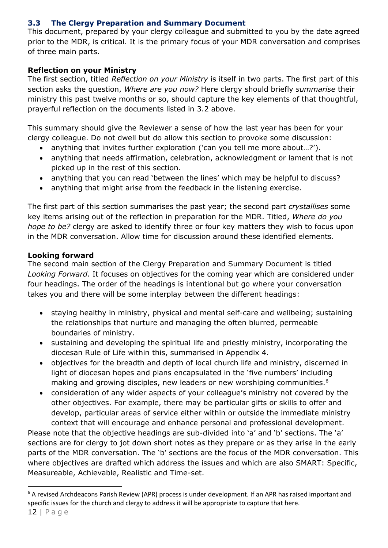# <span id="page-11-0"></span>**3.3 The Clergy Preparation and Summary Document**

This document, prepared by your clergy colleague and submitted to you by the date agreed prior to the MDR, is critical. It is the primary focus of your MDR conversation and comprises of three main parts.

#### **Reflection on your Ministry**

The first section, titled *Reflection on your Ministry* is itself in two parts. The first part of this section asks the question, *Where are you now?* Here clergy should briefly *summarise* their ministry this past twelve months or so, should capture the key elements of that thoughtful, prayerful reflection on the documents listed in 3.2 above.

This summary should give the Reviewer a sense of how the last year has been for your clergy colleague. Do not dwell but do allow this section to provoke some discussion:

- anything that invites further exploration ('can you tell me more about…?').
- anything that needs affirmation, celebration, acknowledgment or lament that is not picked up in the rest of this section.
- anything that you can read 'between the lines' which may be helpful to discuss?
- anything that might arise from the feedback in the listening exercise.

The first part of this section summarises the past year; the second part *crystallises* some key items arising out of the reflection in preparation for the MDR. Titled, *Where do you hope to be?* clergy are asked to identify three or four key matters they wish to focus upon in the MDR conversation. Allow time for discussion around these identified elements.

## **Looking forward**

The second main section of the Clergy Preparation and Summary Document is titled *Looking Forward*. It focuses on objectives for the coming year which are considered under four headings. The order of the headings is intentional but go where your conversation takes you and there will be some interplay between the different headings:

- staying healthy in ministry, physical and mental self-care and wellbeing; sustaining the relationships that nurture and managing the often blurred, permeable boundaries of ministry.
- sustaining and developing the spiritual life and priestly ministry, incorporating the diocesan Rule of Life within this, summarised in Appendix 4.
- objectives for the breadth and depth of local church life and ministry, discerned in light of diocesan hopes and plans encapsulated in the 'five numbers' including making and growing disciples, new leaders or new worshiping communities.<sup>6</sup>
- consideration of any wider aspects of your colleague's ministry not covered by the other objectives. For example, there may be particular gifts or skills to offer and develop, particular areas of service either within or outside the immediate ministry context that will encourage and enhance personal and professional development.

Please note that the objective headings are sub-divided into 'a' and 'b' sections. The 'a' sections are for clergy to jot down short notes as they prepare or as they arise in the early parts of the MDR conversation. The 'b' sections are the focus of the MDR conversation. This where objectives are drafted which address the issues and which are also SMART: Specific, Measureable, Achievable, Realistic and Time-set.

 $\overline{a}$ 

<sup>&</sup>lt;sup>6</sup> A revised Archdeacons Parish Review (APR) process is under development. If an APR has raised important and specific issues for the church and clergy to address it will be appropriate to capture that here.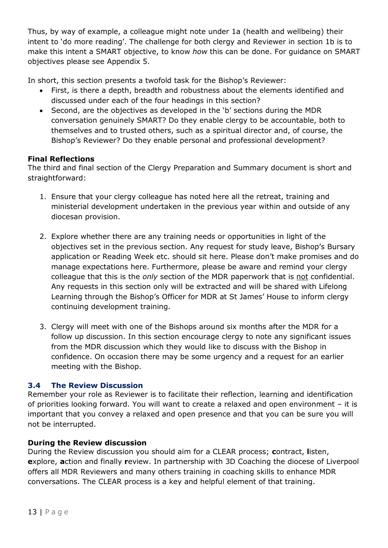Thus, by way of example, a colleague might note under 1a (health and wellbeing) their intent to 'do more reading'. The challenge for both clergy and Reviewer in section 1b is to make this intent a SMART objective, to know *how* this can be done. For guidance on SMART objectives please see Appendix 5.

In short, this section presents a twofold task for the Bishop's Reviewer:

- First, is there a depth, breadth and robustness about the elements identified and discussed under each of the four headings in this section?
- Second, are the objectives as developed in the 'b' sections during the MDR conversation genuinely SMART? Do they enable clergy to be accountable, both to themselves and to trusted others, such as a spiritual director and, of course, the Bishop's Reviewer? Do they enable personal and professional development?

#### **Final Reflections**

The third and final section of the Clergy Preparation and Summary document is short and straightforward:

- 1. Ensure that your clergy colleague has noted here all the retreat, training and ministerial development undertaken in the previous year within and outside of any diocesan provision.
- 2. Explore whether there are any training needs or opportunities in light of the objectives set in the previous section. Any request for study leave, Bishop's Bursary application or Reading Week etc. should sit here. Please don't make promises and do manage expectations here. Furthermore, please be aware and remind your clergy colleague that this is the *only* section of the MDR paperwork that is not confidential. Any requests in this section only will be extracted and will be shared with Lifelong Learning through the Bishop's Officer for MDR at St James' House to inform clergy continuing development training.
- 3. Clergy will meet with one of the Bishops around six months after the MDR for a follow up discussion. In this section encourage clergy to note any significant issues from the MDR discussion which they would like to discuss with the Bishop in confidence. On occasion there may be some urgency and a request for an earlier meeting with the Bishop.

#### <span id="page-12-0"></span>**3.4 The Review Discussion**

Remember your role as Reviewer is to facilitate their reflection, learning and identification of priorities looking forward. You will want to create a relaxed and open environment – it is important that you convey a relaxed and open presence and that you can be sure you will not be interrupted.

#### **During the Review discussion**

During the Review discussion you should aim for a CLEAR process; **c**ontract, **l**isten, **e**xplore, **a**ction and finally **r**eview. In partnership with 3D Coaching the diocese of Liverpool offers all MDR Reviewers and many others training in coaching skills to enhance MDR conversations. The CLEAR process is a key and helpful element of that training.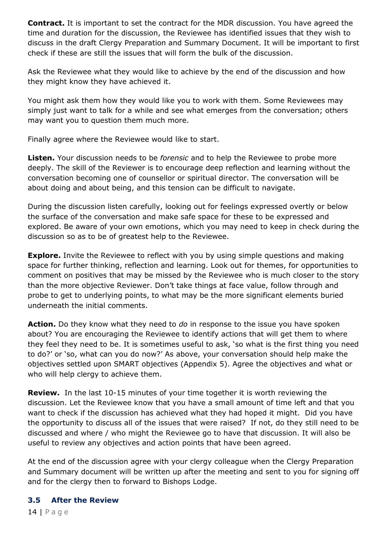**Contract.** It is important to set the contract for the MDR discussion. You have agreed the time and duration for the discussion, the Reviewee has identified issues that they wish to discuss in the draft Clergy Preparation and Summary Document. It will be important to first check if these are still the issues that will form the bulk of the discussion.

Ask the Reviewee what they would like to achieve by the end of the discussion and how they might know they have achieved it.

You might ask them how they would like you to work with them. Some Reviewees may simply just want to talk for a while and see what emerges from the conversation; others may want you to question them much more.

Finally agree where the Reviewee would like to start.

**Listen.** Your discussion needs to be *forensic* and to help the Reviewee to probe more deeply. The skill of the Reviewer is to encourage deep reflection and learning without the conversation becoming one of counsellor or spiritual director. The conversation will be about doing and about being, and this tension can be difficult to navigate.

During the discussion listen carefully, looking out for feelings expressed overtly or below the surface of the conversation and make safe space for these to be expressed and explored. Be aware of your own emotions, which you may need to keep in check during the discussion so as to be of greatest help to the Reviewee.

**Explore.** Invite the Reviewee to reflect with you by using simple questions and making space for further thinking, reflection and learning. Look out for themes, for opportunities to comment on positives that may be missed by the Reviewee who is much closer to the story than the more objective Reviewer. Don't take things at face value, follow through and probe to get to underlying points, to what may be the more significant elements buried underneath the initial comments.

**Action.** Do they know what they need to *do* in response to the issue you have spoken about? You are encouraging the Reviewee to identify actions that will get them to where they feel they need to be. It is sometimes useful to ask, 'so what is the first thing you need to do?' or 'so, what can you do now?' As above, your conversation should help make the objectives settled upon SMART objectives (Appendix 5). Agree the objectives and what or who will help clergy to achieve them.

**Review.** In the last 10-15 minutes of your time together it is worth reviewing the discussion. Let the Reviewee know that you have a small amount of time left and that you want to check if the discussion has achieved what they had hoped it might. Did you have the opportunity to discuss all of the issues that were raised? If not, do they still need to be discussed and where / who might the Reviewee go to have that discussion. It will also be useful to review any objectives and action points that have been agreed.

At the end of the discussion agree with your clergy colleague when the Clergy Preparation and Summary document will be written up after the meeting and sent to you for signing off and for the clergy then to forward to Bishops Lodge.

#### <span id="page-13-0"></span>**3.5 After the Review**

14 | P a g e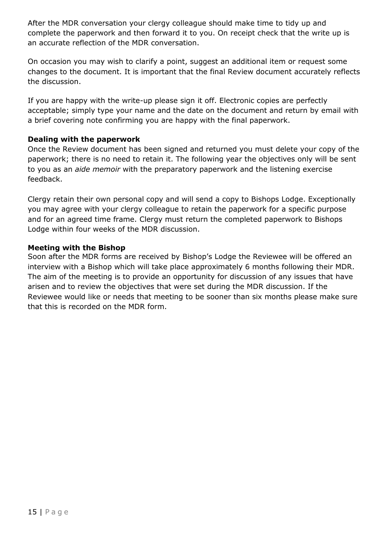After the MDR conversation your clergy colleague should make time to tidy up and complete the paperwork and then forward it to you. On receipt check that the write up is an accurate reflection of the MDR conversation.

On occasion you may wish to clarify a point, suggest an additional item or request some changes to the document. It is important that the final Review document accurately reflects the discussion.

If you are happy with the write-up please sign it off. Electronic copies are perfectly acceptable; simply type your name and the date on the document and return by email with a brief covering note confirming you are happy with the final paperwork.

#### **Dealing with the paperwork**

Once the Review document has been signed and returned you must delete your copy of the paperwork; there is no need to retain it. The following year the objectives only will be sent to you as an *aide memoir* with the preparatory paperwork and the listening exercise feedback.

Clergy retain their own personal copy and will send a copy to Bishops Lodge. Exceptionally you may agree with your clergy colleague to retain the paperwork for a specific purpose and for an agreed time frame. Clergy must return the completed paperwork to Bishops Lodge within four weeks of the MDR discussion.

#### **Meeting with the Bishop**

Soon after the MDR forms are received by Bishop's Lodge the Reviewee will be offered an interview with a Bishop which will take place approximately 6 months following their MDR. The aim of the meeting is to provide an opportunity for discussion of any issues that have arisen and to review the objectives that were set during the MDR discussion. If the Reviewee would like or needs that meeting to be sooner than six months please make sure that this is recorded on the MDR form.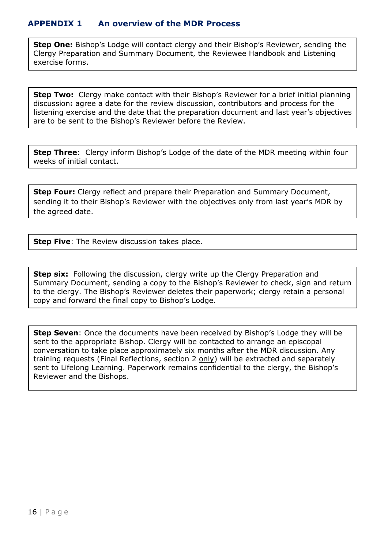<span id="page-15-0"></span>**Step One:** Bishop's Lodge will contact clergy and their Bishop's Reviewer, sending the Clergy Preparation and Summary Document, the Reviewee Handbook and Listening exercise forms.

**Step Two:** Clergy make contact with their Bishop's Reviewer for a brief initial planning discussion**:** agree a date for the review discussion, contributors and process for the listening exercise and the date that the preparation document and last year's objectives are to be sent to the Bishop's Reviewer before the Review.

**Step Three**: Clergy inform Bishop's Lodge of the date of the MDR meeting within four weeks of initial contact.

**Step Four:** Clergy reflect and prepare their Preparation and Summary Document, sending it to their Bishop's Reviewer with the objectives only from last year's MDR by the agreed date.

**Step Five:** The Review discussion takes place.

**Step six:** Following the discussion, clergy write up the Clergy Preparation and Summary Document, sending a copy to the Bishop's Reviewer to check, sign and return to the clergy. The Bishop's Reviewer deletes their paperwork; clergy retain a personal copy and forward the final copy to Bishop's Lodge.

**Step Seven**: Once the documents have been received by Bishop's Lodge they will be sent to the appropriate Bishop. Clergy will be contacted to arrange an episcopal conversation to take place approximately six months after the MDR discussion. Any training requests (Final Reflections, section 2 only) will be extracted and separately sent to Lifelong Learning. Paperwork remains confidential to the clergy, the Bishop's Reviewer and the Bishops.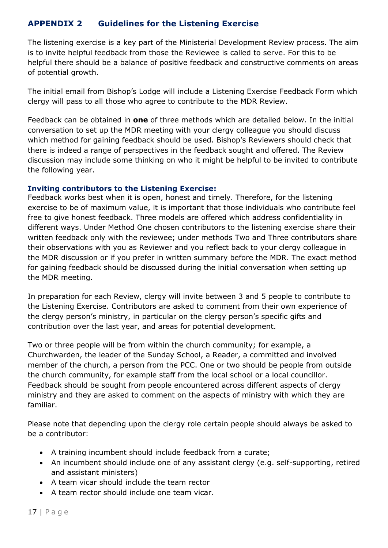# <span id="page-16-0"></span>**APPENDIX 2 Guidelines for the Listening Exercise**

The listening exercise is a key part of the Ministerial Development Review process. The aim is to invite helpful feedback from those the Reviewee is called to serve. For this to be helpful there should be a balance of positive feedback and constructive comments on areas of potential growth.

The initial email from Bishop's Lodge will include a Listening Exercise Feedback Form which clergy will pass to all those who agree to contribute to the MDR Review.

Feedback can be obtained in **one** of three methods which are detailed below. In the initial conversation to set up the MDR meeting with your clergy colleague you should discuss which method for gaining feedback should be used. Bishop's Reviewers should check that there is indeed a range of perspectives in the feedback sought and offered. The Review discussion may include some thinking on who it might be helpful to be invited to contribute the following year.

#### **Inviting contributors to the Listening Exercise:**

Feedback works best when it is open, honest and timely. Therefore, for the listening exercise to be of maximum value, it is important that those individuals who contribute feel free to give honest feedback. Three models are offered which address confidentiality in different ways. Under Method One chosen contributors to the listening exercise share their written feedback only with the reviewee; under methods Two and Three contributors share their observations with you as Reviewer and you reflect back to your clergy colleague in the MDR discussion or if you prefer in written summary before the MDR. The exact method for gaining feedback should be discussed during the initial conversation when setting up the MDR meeting.

In preparation for each Review, clergy will invite between 3 and 5 people to contribute to the Listening Exercise. Contributors are asked to comment from their own experience of the clergy person's ministry, in particular on the clergy person's specific gifts and contribution over the last year, and areas for potential development.

Two or three people will be from within the church community; for example, a Churchwarden, the leader of the Sunday School, a Reader, a committed and involved member of the church, a person from the PCC. One or two should be people from outside the church community, for example staff from the local school or a local councillor. Feedback should be sought from people encountered across different aspects of clergy ministry and they are asked to comment on the aspects of ministry with which they are familiar.

Please note that depending upon the clergy role certain people should always be asked to be a contributor:

- A training incumbent should include feedback from a curate;
- An incumbent should include one of any assistant clergy (e.g. self-supporting, retired and assistant ministers)
- A team vicar should include the team rector
- A team rector should include one team vicar.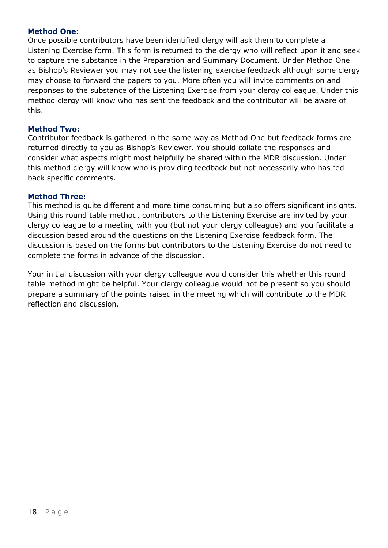#### **Method One:**

Once possible contributors have been identified clergy will ask them to complete a Listening Exercise form. This form is returned to the clergy who will reflect upon it and seek to capture the substance in the Preparation and Summary Document. Under Method One as Bishop's Reviewer you may not see the listening exercise feedback although some clergy may choose to forward the papers to you. More often you will invite comments on and responses to the substance of the Listening Exercise from your clergy colleague. Under this method clergy will know who has sent the feedback and the contributor will be aware of this.

#### **Method Two:**

Contributor feedback is gathered in the same way as Method One but feedback forms are returned directly to you as Bishop's Reviewer. You should collate the responses and consider what aspects might most helpfully be shared within the MDR discussion. Under this method clergy will know who is providing feedback but not necessarily who has fed back specific comments.

#### **Method Three:**

This method is quite different and more time consuming but also offers significant insights. Using this round table method, contributors to the Listening Exercise are invited by your clergy colleague to a meeting with you (but not your clergy colleague) and you facilitate a discussion based around the questions on the Listening Exercise feedback form. The discussion is based on the forms but contributors to the Listening Exercise do not need to complete the forms in advance of the discussion.

Your initial discussion with your clergy colleague would consider this whether this round table method might be helpful. Your clergy colleague would not be present so you should prepare a summary of the points raised in the meeting which will contribute to the MDR reflection and discussion.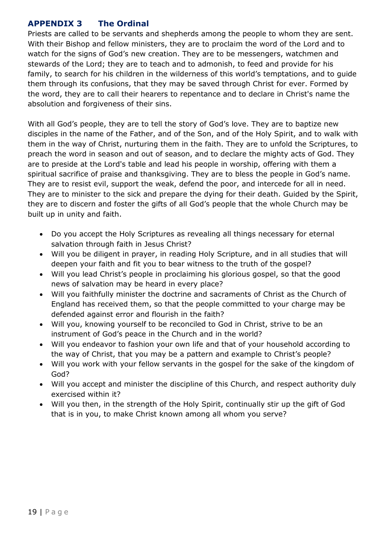# <span id="page-18-0"></span>**APPENDIX 3 The Ordinal**

Priests are called to be servants and shepherds among the people to whom they are sent. With their Bishop and fellow ministers, they are to proclaim the word of the Lord and to watch for the signs of God's new creation. They are to be messengers, watchmen and stewards of the Lord; they are to teach and to admonish, to feed and provide for his family, to search for his children in the wilderness of this world's temptations, and to guide them through its confusions, that they may be saved through Christ for ever. Formed by the word, they are to call their hearers to repentance and to declare in Christ's name the absolution and forgiveness of their sins.

With all God's people, they are to tell the story of God's love. They are to baptize new disciples in the name of the Father, and of the Son, and of the Holy Spirit, and to walk with them in the way of Christ, nurturing them in the faith. They are to unfold the Scriptures, to preach the word in season and out of season, and to declare the mighty acts of God. They are to preside at the Lord's table and lead his people in worship, offering with them a spiritual sacrifice of praise and thanksgiving. They are to bless the people in God's name. They are to resist evil, support the weak, defend the poor, and intercede for all in need. They are to minister to the sick and prepare the dying for their death. Guided by the Spirit, they are to discern and foster the gifts of all God's people that the whole Church may be built up in unity and faith.

- Do you accept the Holy Scriptures as revealing all things necessary for eternal salvation through faith in Jesus Christ?
- Will you be diligent in prayer, in reading Holy Scripture, and in all studies that will deepen your faith and fit you to bear witness to the truth of the gospel?
- Will you lead Christ's people in proclaiming his glorious gospel, so that the good news of salvation may be heard in every place?
- Will you faithfully minister the doctrine and sacraments of Christ as the Church of England has received them, so that the people committed to your charge may be defended against error and flourish in the faith?
- Will you, knowing yourself to be reconciled to God in Christ, strive to be an instrument of God's peace in the Church and in the world?
- Will you endeavor to fashion your own life and that of your household according to the way of Christ, that you may be a pattern and example to Christ's people?
- Will you work with your fellow servants in the gospel for the sake of the kingdom of God?
- Will you accept and minister the discipline of this Church, and respect authority duly exercised within it?
- Will you then, in the strength of the Holy Spirit, continually stir up the gift of God that is in you, to make Christ known among all whom you serve?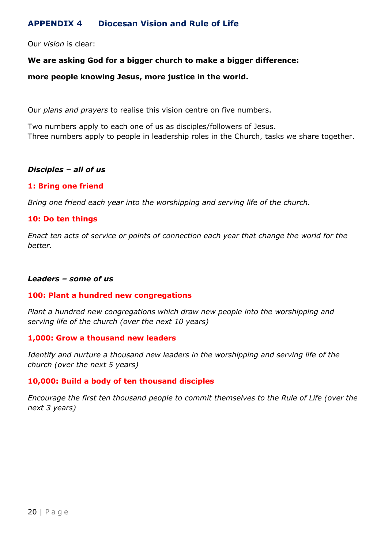# <span id="page-19-0"></span>**APPENDIX 4 Diocesan Vision and Rule of Life**

Our *vision* is clear:

#### **We are asking God for a bigger church to make a bigger difference:**

#### **more people knowing Jesus, more justice in the world.**

Our *plans and prayers* to realise this vision centre on five numbers.

Two numbers apply to each one of us as disciples/followers of Jesus. Three numbers apply to people in leadership roles in the Church, tasks we share together.

#### *Disciples – all of us*

#### **1: Bring one friend**

*Bring one friend each year into the worshipping and serving life of the church.*

#### **10: Do ten things**

*Enact ten acts of service or points of connection each year that change the world for the better.*

#### *Leaders – some of us*

#### **100: Plant a hundred new congregations**

*Plant a hundred new congregations which draw new people into the worshipping and serving life of the church (over the next 10 years)*

#### **1,000: Grow a thousand new leaders**

*Identify and nurture a thousand new leaders in the worshipping and serving life of the church (over the next 5 years)*

#### **10,000: Build a body of ten thousand disciples**

*Encourage the first ten thousand people to commit themselves to the Rule of Life (over the next 3 years)*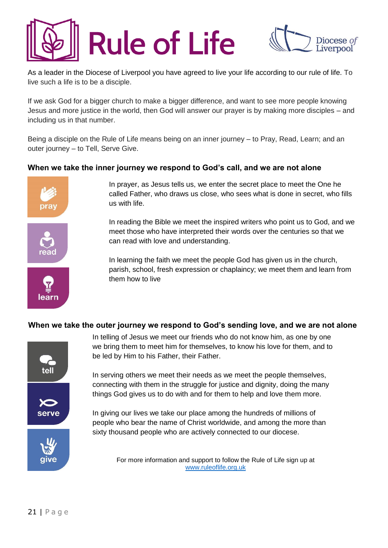

<span id="page-20-0"></span>

As a leader in the Diocese of Liverpool you have agreed to live your life according to our rule of life. To live such a life is to be a disciple.

If we ask God for a bigger church to make a bigger difference, and want to see more people knowing Jesus and more justice in the world, then God will answer our prayer is by making more disciples – and including us in that number.

Being a disciple on the Rule of Life means being on an inner journey – to Pray, Read, Learn; and an outer journey – to Tell, Serve Give.

#### **When we take the inner journey we respond to God's call, and we are not alone**







In prayer, as Jesus tells us, we enter the secret place to meet the One he called Father, who draws us close, who sees what is done in secret, who fills us with life.

In reading the Bible we meet the inspired writers who point us to God, and we meet those who have interpreted their words over the centuries so that we can read with love and understanding.

In learning the faith we meet the people God has given us in the church, parish, school, fresh expression or chaplaincy; we meet them and learn from them how to live

## **When we take the outer journey we respond to God's sending love, and we are not alone**



In telling of Jesus we meet our friends who do not know him, as one by one we bring them to meet him for themselves, to know his love for them, and to be led by Him to his Father, their Father.

In serving others we meet their needs as we meet the people themselves, connecting with them in the struggle for justice and dignity, doing the many things God gives us to do with and for them to help and love them more.

In giving our lives we take our place among the hundreds of millions of people who bear the name of Christ worldwide, and among the more than sixty thousand people who are actively connected to our diocese.

> For more information and support to follow the Rule of Life sign up at [www.ruleoflife.org.uk](http://www.ruleoflife.org.uk/)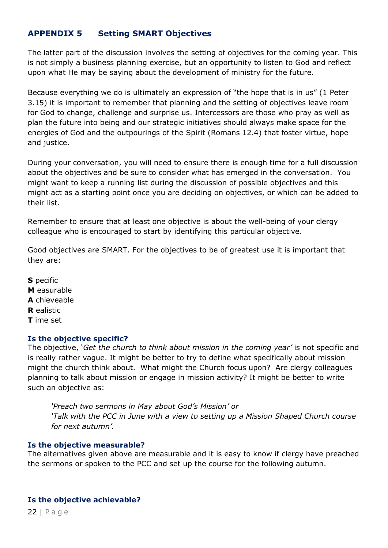# **APPENDIX 5 Setting SMART Objectives**

The latter part of the discussion involves the setting of objectives for the coming year. This is not simply a business planning exercise, but an opportunity to listen to God and reflect upon what He may be saying about the development of ministry for the future.

Because everything we do is ultimately an expression of "the hope that is in us" (1 Peter 3.15) it is important to remember that planning and the setting of objectives leave room for God to change, challenge and surprise us. Intercessors are those who pray as well as plan the future into being and our strategic initiatives should always make space for the energies of God and the outpourings of the Spirit (Romans 12.4) that foster virtue, hope and justice.

During your conversation, you will need to ensure there is enough time for a full discussion about the objectives and be sure to consider what has emerged in the conversation. You might want to keep a running list during the discussion of possible objectives and this might act as a starting point once you are deciding on objectives, or which can be added to their list.

Remember to ensure that at least one objective is about the well-being of your clergy colleague who is encouraged to start by identifying this particular objective.

Good objectives are SMART. For the objectives to be of greatest use it is important that they are:

**S** pecific **M** easurable **A** chieveable **R** ealistic **T** ime set

#### **Is the objective specific?**

The objective, '*Get the church to think about mission in the coming year'* is not specific and is really rather vague. It might be better to try to define what specifically about mission might the church think about. What might the Church focus upon? Are clergy colleagues planning to talk about mission or engage in mission activity? It might be better to write such an objective as:

*'Preach two sermons in May about God's Mission' or 'Talk with the PCC in June with a view to setting up a Mission Shaped Church course for next autumn'.*

#### **Is the objective measurable?**

The alternatives given above are measurable and it is easy to know if clergy have preached the sermons or spoken to the PCC and set up the course for the following autumn.

#### **Is the objective achievable?**

22 | P a g e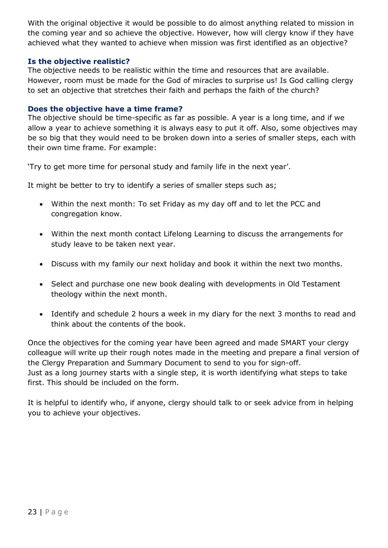With the original objective it would be possible to do almost anything related to mission in the coming year and so achieve the objective. However, how will clergy know if they have achieved what they wanted to achieve when mission was first identified as an objective?

#### **Is the objective realistic?**

The objective needs to be realistic within the time and resources that are available. However, room must be made for the God of miracles to surprise us! Is God calling clergy to set an objective that stretches their faith and perhaps the faith of the church?

#### **Does the objective have a time frame?**

The objective should be time-specific as far as possible. A year is a long time, and if we allow a year to achieve something it is always easy to put it off. Also, some objectives may be so big that they would need to be broken down into a series of smaller steps, each with their own time frame. For example:

'Try to get more time for personal study and family life in the next year'.

It might be better to try to identify a series of smaller steps such as;

- Within the next month: To set Friday as my day off and to let the PCC and congregation know.
- Within the next month contact Lifelong Learning to discuss the arrangements for study leave to be taken next year.
- Discuss with my family our next holiday and book it within the next two months.
- Select and purchase one new book dealing with developments in Old Testament theology within the next month.
- Identify and schedule 2 hours a week in my diary for the next 3 months to read and think about the contents of the book.

Once the objectives for the coming year have been agreed and made SMART your clergy colleague will write up their rough notes made in the meeting and prepare a final version of the Clergy Preparation and Summary Document to send to you for sign-off. Just as a long journey starts with a single step, it is worth identifying what steps to take first. This should be included on the form.

It is helpful to identify who, if anyone, clergy should talk to or seek advice from in helping you to achieve your objectives.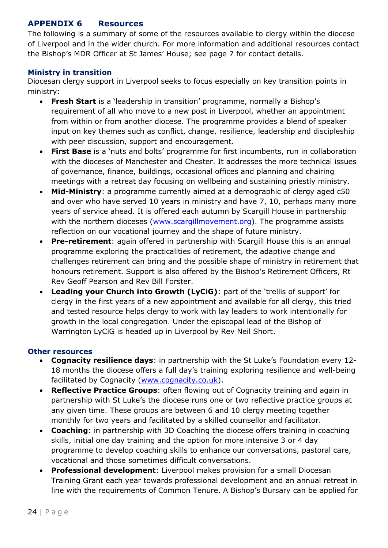# <span id="page-23-0"></span>**APPENDIX 6 Resources**

The following is a summary of some of the resources available to clergy within the diocese of Liverpool and in the wider church. For more information and additional resources contact the Bishop's MDR Officer at St James' House; see page 7 for contact details.

#### **Ministry in transition**

Diocesan clergy support in Liverpool seeks to focus especially on key transition points in ministry:

- **Fresh Start** is a 'leadership in transition' programme, normally a Bishop's requirement of all who move to a new post in Liverpool, whether an appointment from within or from another diocese. The programme provides a blend of speaker input on key themes such as conflict, change, resilience, leadership and discipleship with peer discussion, support and encouragement.
- **First Base** is a 'nuts and bolts' programme for first incumbents, run in collaboration with the dioceses of Manchester and Chester. It addresses the more technical issues of governance, finance, buildings, occasional offices and planning and chairing meetings with a retreat day focusing on wellbeing and sustaining priestly ministry.
- **Mid-Ministry**: a programme currently aimed at a demographic of clergy aged c50 and over who have served 10 years in ministry and have 7, 10, perhaps many more years of service ahead. It is offered each autumn by Scargill House in partnership with the northern dioceses [\(www.scargillmovement.org\)](http://www.scargillmovement.org/). The programme assists reflection on our vocational journey and the shape of future ministry.
- **Pre-retirement:** again offered in partnership with Scargill House this is an annual programme exploring the practicalities of retirement, the adaptive change and challenges retirement can bring and the possible shape of ministry in retirement that honours retirement. Support is also offered by the Bishop's Retirement Officers, Rt Rev Geoff Pearson and Rev Bill Forster.
- **Leading your Church into Growth (LyCiG)**: part of the 'trellis of support' for clergy in the first years of a new appointment and available for all clergy, this tried and tested resource helps clergy to work with lay leaders to work intentionally for growth in the local congregation. Under the episcopal lead of the Bishop of Warrington LyCiG is headed up in Liverpool by Rev Neil Short.

#### **Other resources**

- **Cognacity resilience days**: in partnership with the St Luke's Foundation every 12- 18 months the diocese offers a full day's training exploring resilience and well-being facilitated by Cognacity [\(www.cognacity.co.uk\)](http://www.cognacity.co.uk/).
- **Reflective Practice Groups**: often flowing out of Cognacity training and again in partnership with St Luke's the diocese runs one or two reflective practice groups at any given time. These groups are between 6 and 10 clergy meeting together monthly for two years and facilitated by a skilled counsellor and facilitator.
- **Coaching**: in partnership with 3D Coaching the diocese offers training in coaching skills, initial one day training and the option for more intensive 3 or 4 day programme to develop coaching skills to enhance our conversations, pastoral care, vocational and those sometimes difficult conversations.
- **Professional development**: Liverpool makes provision for a small Diocesan Training Grant each year towards professional development and an annual retreat in line with the requirements of Common Tenure. A Bishop's Bursary can be applied for